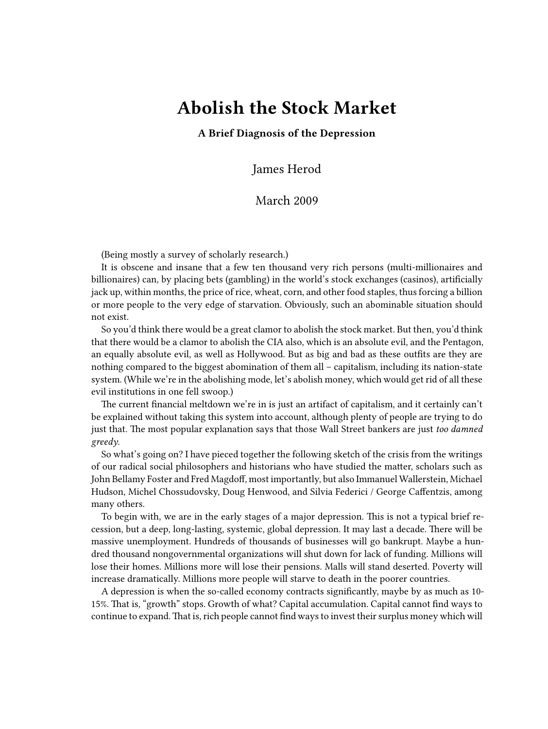# **Abolish the Stock Market**

**A Brief Diagnosis of the Depression**

James Herod

## March 2009

(Being mostly a survey of scholarly research.)

It is obscene and insane that a few ten thousand very rich persons (multi-millionaires and billionaires) can, by placing bets (gambling) in the world's stock exchanges (casinos), artificially jack up, within months, the price of rice, wheat, corn, and other food staples, thus forcing a billion or more people to the very edge of starvation. Obviously, such an abominable situation should not exist.

So you'd think there would be a great clamor to abolish the stock market. But then, you'd think that there would be a clamor to abolish the CIA also, which is an absolute evil, and the Pentagon, an equally absolute evil, as well as Hollywood. But as big and bad as these outfits are they are nothing compared to the biggest abomination of them all – capitalism, including its nation-state system. (While we're in the abolishing mode, let's abolish money, which would get rid of all these evil institutions in one fell swoop.)

The current financial meltdown we're in is just an artifact of capitalism, and it certainly can't be explained without taking this system into account, although plenty of people are trying to do just that. The most popular explanation says that those Wall Street bankers are just *too damned greedy*.

So what's going on? I have pieced together the following sketch of the crisis from the writings of our radical social philosophers and historians who have studied the matter, scholars such as John Bellamy Foster and Fred Magdoff, most importantly, but also Immanuel Wallerstein, Michael Hudson, Michel Chossudovsky, Doug Henwood, and Silvia Federici / George Caffentzis, among many others.

To begin with, we are in the early stages of a major depression. This is not a typical brief recession, but a deep, long-lasting, systemic, global depression. It may last a decade. There will be massive unemployment. Hundreds of thousands of businesses will go bankrupt. Maybe a hundred thousand nongovernmental organizations will shut down for lack of funding. Millions will lose their homes. Millions more will lose their pensions. Malls will stand deserted. Poverty will increase dramatically. Millions more people will starve to death in the poorer countries.

A depression is when the so-called economy contracts significantly, maybe by as much as 10- 15%. That is, "growth" stops. Growth of what? Capital accumulation. Capital cannot find ways to continue to expand.That is, rich people cannot find ways to invest their surplus money which will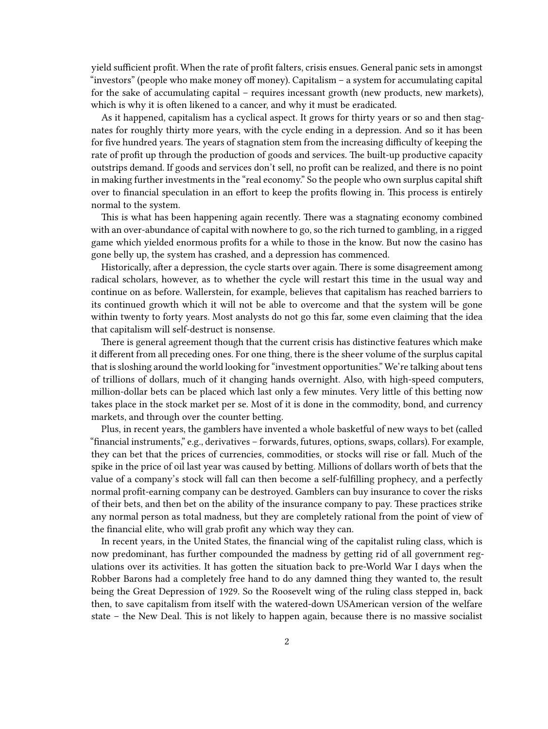yield sufficient profit. When the rate of profit falters, crisis ensues. General panic sets in amongst "investors" (people who make money off money). Capitalism – a system for accumulating capital for the sake of accumulating capital – requires incessant growth (new products, new markets), which is why it is often likened to a cancer, and why it must be eradicated.

As it happened, capitalism has a cyclical aspect. It grows for thirty years or so and then stagnates for roughly thirty more years, with the cycle ending in a depression. And so it has been for five hundred years. The years of stagnation stem from the increasing difficulty of keeping the rate of profit up through the production of goods and services. The built-up productive capacity outstrips demand. If goods and services don't sell, no profit can be realized, and there is no point in making further investments in the "real economy." So the people who own surplus capital shift over to financial speculation in an effort to keep the profits flowing in. This process is entirely normal to the system.

This is what has been happening again recently. There was a stagnating economy combined with an over-abundance of capital with nowhere to go, so the rich turned to gambling, in a rigged game which yielded enormous profits for a while to those in the know. But now the casino has gone belly up, the system has crashed, and a depression has commenced.

Historically, after a depression, the cycle starts over again. There is some disagreement among radical scholars, however, as to whether the cycle will restart this time in the usual way and continue on as before. Wallerstein, for example, believes that capitalism has reached barriers to its continued growth which it will not be able to overcome and that the system will be gone within twenty to forty years. Most analysts do not go this far, some even claiming that the idea that capitalism will self-destruct is nonsense.

There is general agreement though that the current crisis has distinctive features which make it different from all preceding ones. For one thing, there is the sheer volume of the surplus capital that is sloshing around the world looking for "investment opportunities." We're talking about tens of trillions of dollars, much of it changing hands overnight. Also, with high-speed computers, million-dollar bets can be placed which last only a few minutes. Very little of this betting now takes place in the stock market per se. Most of it is done in the commodity, bond, and currency markets, and through over the counter betting.

Plus, in recent years, the gamblers have invented a whole basketful of new ways to bet (called "financial instruments," e.g., derivatives – forwards, futures, options, swaps, collars). For example, they can bet that the prices of currencies, commodities, or stocks will rise or fall. Much of the spike in the price of oil last year was caused by betting. Millions of dollars worth of bets that the value of a company's stock will fall can then become a self-fulfilling prophecy, and a perfectly normal profit-earning company can be destroyed. Gamblers can buy insurance to cover the risks of their bets, and then bet on the ability of the insurance company to pay. These practices strike any normal person as total madness, but they are completely rational from the point of view of the financial elite, who will grab profit any which way they can.

In recent years, in the United States, the financial wing of the capitalist ruling class, which is now predominant, has further compounded the madness by getting rid of all government regulations over its activities. It has gotten the situation back to pre-World War I days when the Robber Barons had a completely free hand to do any damned thing they wanted to, the result being the Great Depression of 1929. So the Roosevelt wing of the ruling class stepped in, back then, to save capitalism from itself with the watered-down USAmerican version of the welfare state – the New Deal. This is not likely to happen again, because there is no massive socialist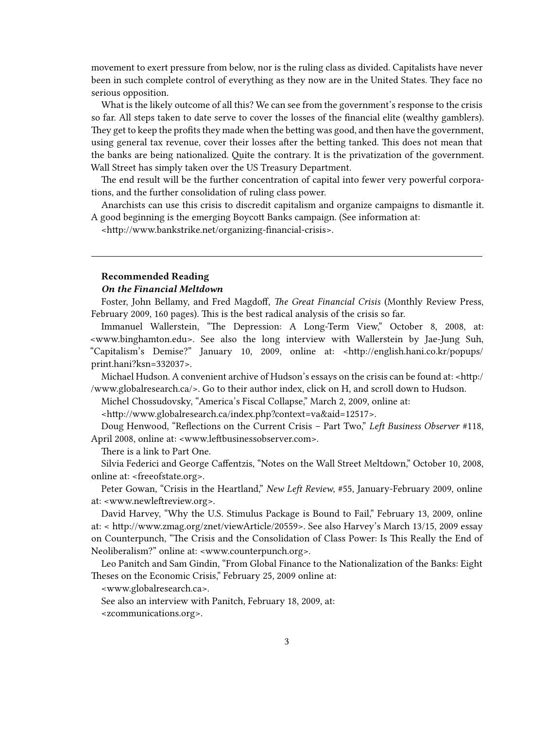movement to exert pressure from below, nor is the ruling class as divided. Capitalists have never been in such complete control of everything as they now are in the United States. They face no serious opposition.

What is the likely outcome of all this? We can see from the government's response to the crisis so far. All steps taken to date serve to cover the losses of the financial elite (wealthy gamblers). They get to keep the profits they made when the betting was good, and then have the government, using general tax revenue, cover their losses after the betting tanked. This does not mean that the banks are being nationalized. Quite the contrary. It is the privatization of the government. Wall Street has simply taken over the US Treasury Department.

The end result will be the further concentration of capital into fewer very powerful corporations, and the further consolidation of ruling class power.

Anarchists can use this crisis to discredit capitalism and organize campaigns to dismantle it. A good beginning is the emerging Boycott Banks campaign. (See information at:

[<http://www.bankstrike.net/organizing-financial-crisis](http://www.bankstrike.net/organizing-financial-crisis)>.

#### **Recommended Reading**

#### *On the Financial Meltdown*

Foster, John Bellamy, and Fred Magdoff, *The Great Financial Crisis* (Monthly Review Press, February 2009, 160 pages). This is the best radical analysis of the crisis so far.

Immanuel Wallerstein, "The Depression: A Long-Term View," October 8, 2008, at: [<www.binghamton.edu](http://www.binghamton.edu/fbc/243en.htm)>. See also the long interview with Wallerstein by Jae-Jung Suh, "Capitalism's Demise?" January 10, 2009, online at: <[http://english.hani.co.kr/popups/](http://english.hani.co.kr/popups/print.hani?ksn=332037) [print.hani?ksn=332037](http://english.hani.co.kr/popups/print.hani?ksn=332037)>.

Michael Hudson. A convenient archive of Hudson's essays on the crisis can be found at: <[http:/](http://www.globalresearch.ca/) [/www.globalresearch.ca/](http://www.globalresearch.ca/)>. Go to their author index, click on H, and scroll down to Hudson.

Michel Chossudovsky, "America's Fiscal Collapse," March 2, 2009, online at:

[<http://www.globalresearch.ca/index.php?context=va&aid=12517>](http://www.globalresearch.ca/index.php?context=va&aid=12517).

Doug Henwood, "Reflections on the Current Crisis – Part Two," *Left Business Observer* #118, April 2008, online at: <[www.leftbusinessobserver.com](http://www.leftbusinessobserver.com/Turmoil2.html)>.

There is a link to Part One.

Silvia Federici and George Caffentzis, "Notes on the Wall Street Meltdown," October 10, 2008, online at: <[freeofstate.org](http://freeofstate.org/new/?p=4208)>.

Peter Gowan, "Crisis in the Heartland," *New Left Review*, #55, January-February 2009, online at: <[www.newleftreview.org](http://www.newleftreview.org/?page=article&view=2759)>.

David Harvey, "Why the U.S. Stimulus Package is Bound to Fail," February 13, 2009, online at: < [http://www.zmag.org/znet/viewArticle/20559>](http://www.zmag.org/znet/viewArticle/20559). See also Harvey's March 13/15, 2009 essay on Counterpunch, "The Crisis and the Consolidation of Class Power: Is This Really the End of Neoliberalism?" online at: [<www.counterpunch.org](http://www.counterpunch.org/harvey03132009.html)>.

Leo Panitch and Sam Gindin, "From Global Finance to the Nationalization of the Banks: Eight Theses on the Economic Crisis," February 25, 2009 online at:

[<www.globalresearch.ca](http://www.globalresearch.ca/index.php?context=va&aid=12463)>.

See also an interview with Panitch, February 18, 2009, at:

[<zcommunications.org>](http://zcommunications.org/znet/viewArticlePrint/20602).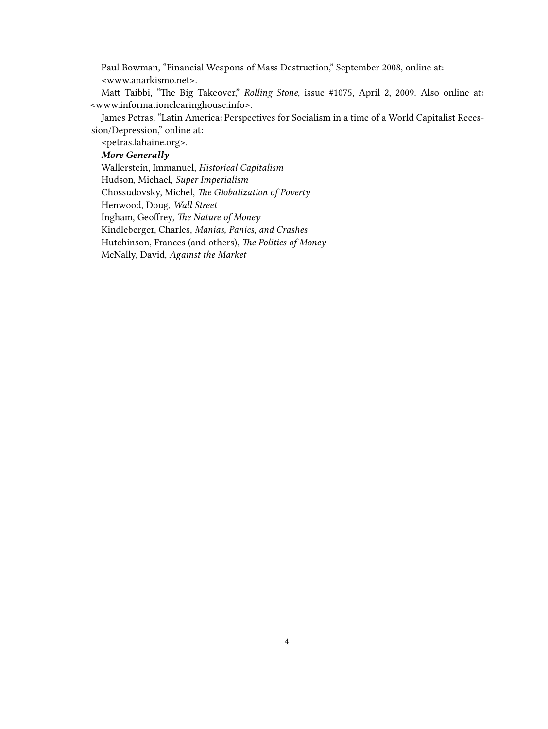Paul Bowman, "Financial Weapons of Mass Destruction," September 2008, online at: [<www.anarkismo.net](http://www.anarkismo.net/article/9850?print_page=true)>.

Matt Taibbi, "The Big Takeover," *Rolling Stone*, issue #1075, April 2, 2009. Also online at: [<www.informationclearinghouse.info>](http://www.informationclearinghouse.info/article22276.htm).

James Petras, "Latin America: Perspectives for Socialism in a time of a World Capitalist Recession/Depression," online at:

[<petras.lahaine.org>](http://petras.lahaine.org/articulo.php?p=1772&more=1&c=1).

### *More Generally*

Wallerstein, Immanuel, *Historical Capitalism* Hudson, Michael, *Super Imperialism* Chossudovsky, Michel, *The Globalization of Poverty* Henwood, Doug, *Wall Street* Ingham, Geoffrey, *The Nature of Money* Kindleberger, Charles, *Manias, Panics, and Crashes* Hutchinson, Frances (and others), *The Politics of Money* McNally, David, *Against the Market*